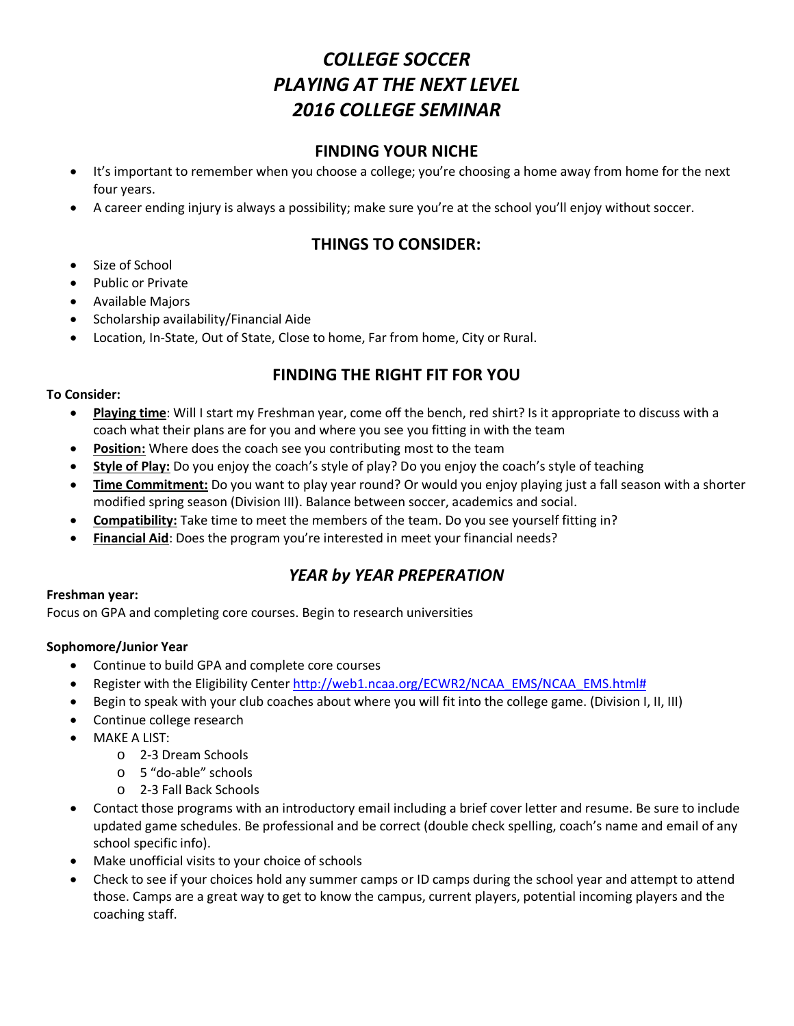# *COLLEGE SOCCER PLAYING AT THE NEXT LEVEL 2016 COLLEGE SEMINAR*

### **FINDING YOUR NICHE**

- It's important to remember when you choose a college; you're choosing a home away from home for the next four years.
- A career ending injury is always a possibility; make sure you're at the school you'll enjoy without soccer.

# **THINGS TO CONSIDER:**

- Size of School
- Public or Private
- Available Majors
- Scholarship availability/Financial Aide
- Location, In-State, Out of State, Close to home, Far from home, City or Rural.

# **FINDING THE RIGHT FIT FOR YOU**

#### **To Consider:**

- **Playing time**: Will I start my Freshman year, come off the bench, red shirt? Is it appropriate to discuss with a coach what their plans are for you and where you see you fitting in with the team
- **Position:** Where does the coach see you contributing most to the team
- **Style of Play:** Do you enjoy the coach's style of play? Do you enjoy the coach's style of teaching
- **Time Commitment:** Do you want to play year round? Or would you enjoy playing just a fall season with a shorter modified spring season (Division III). Balance between soccer, academics and social.
- **Compatibility:** Take time to meet the members of the team. Do you see yourself fitting in?
- **Financial Aid**: Does the program you're interested in meet your financial needs?

# *YEAR by YEAR PREPERATION*

#### **Freshman year:**

Focus on GPA and completing core courses. Begin to research universities

#### **Sophomore/Junior Year**

- Continue to build GPA and complete core courses
- Register with the Eligibility Center [http://web1.ncaa.org/ECWR2/NCAA\\_EMS/NCAA\\_EMS.html#](http://web1.ncaa.org/ECWR2/NCAA_EMS/NCAA_EMS.html)
- Begin to speak with your club coaches about where you will fit into the college game. (Division I, II, III)
- Continue college research
- MAKE A LIST:
	- o 2-3 Dream Schools
	- o 5 "do-able" schools
	- o 2-3 Fall Back Schools
- Contact those programs with an introductory email including a brief cover letter and resume. Be sure to include updated game schedules. Be professional and be correct (double check spelling, coach's name and email of any school specific info).
- Make unofficial visits to your choice of schools
- Check to see if your choices hold any summer camps or ID camps during the school year and attempt to attend those. Camps are a great way to get to know the campus, current players, potential incoming players and the coaching staff.